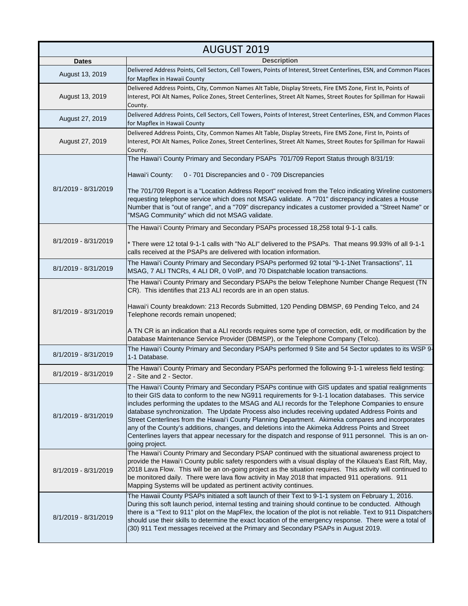| <b>AUGUST 2019</b>   |                                                                                                                                                                                                                                                                                                                                                                                                                                                                                                                                                                                                                                                                                                                                                          |
|----------------------|----------------------------------------------------------------------------------------------------------------------------------------------------------------------------------------------------------------------------------------------------------------------------------------------------------------------------------------------------------------------------------------------------------------------------------------------------------------------------------------------------------------------------------------------------------------------------------------------------------------------------------------------------------------------------------------------------------------------------------------------------------|
| <b>Dates</b>         | <b>Description</b>                                                                                                                                                                                                                                                                                                                                                                                                                                                                                                                                                                                                                                                                                                                                       |
| August 13, 2019      | Delivered Address Points, Cell Sectors, Cell Towers, Points of Interest, Street Centerlines, ESN, and Common Places<br>for Mapflex in Hawaii County                                                                                                                                                                                                                                                                                                                                                                                                                                                                                                                                                                                                      |
| August 13, 2019      | Delivered Address Points, City, Common Names Alt Table, Display Streets, Fire EMS Zone, First In, Points of<br>Interest, POI Alt Names, Police Zones, Street Centerlines, Street Alt Names, Street Routes for Spillman for Hawaii<br>County.                                                                                                                                                                                                                                                                                                                                                                                                                                                                                                             |
| August 27, 2019      | Delivered Address Points, Cell Sectors, Cell Towers, Points of Interest, Street Centerlines, ESN, and Common Places<br>for Mapflex in Hawaii County                                                                                                                                                                                                                                                                                                                                                                                                                                                                                                                                                                                                      |
| August 27, 2019      | Delivered Address Points, City, Common Names Alt Table, Display Streets, Fire EMS Zone, First In, Points of<br>Interest, POI Alt Names, Police Zones, Street Centerlines, Street Alt Names, Street Routes for Spillman for Hawaii<br>County.                                                                                                                                                                                                                                                                                                                                                                                                                                                                                                             |
| 8/1/2019 - 8/31/2019 | The Hawai'i County Primary and Secondary PSAPs 701/709 Report Status through 8/31/19:<br>0 - 701 Discrepancies and 0 - 709 Discrepancies<br>Hawai'i County:<br>The 701/709 Report is a "Location Address Report" received from the Telco indicating Wireline customers<br>requesting telephone service which does not MSAG validate. A "701" discrepancy indicates a House<br>Number that is "out of range", and a "709" discrepancy indicates a customer provided a "Street Name" or<br>"MSAG Community" which did not MSAG validate.                                                                                                                                                                                                                   |
| 8/1/2019 - 8/31/2019 | The Hawai'i County Primary and Secondary PSAPs processed 18,258 total 9-1-1 calls.<br>* There were 12 total 9-1-1 calls with "No ALI" delivered to the PSAPs. That means 99.93% of all 9-1-1<br>calls received at the PSAPs are delivered with location information.                                                                                                                                                                                                                                                                                                                                                                                                                                                                                     |
| 8/1/2019 - 8/31/2019 | The Hawai'i County Primary and Secondary PSAPs performed 92 total "9-1-1Net Transactions", 11<br>MSAG, 7 ALI TNCRs, 4 ALI DR, 0 VoIP, and 70 Dispatchable location transactions.                                                                                                                                                                                                                                                                                                                                                                                                                                                                                                                                                                         |
| 8/1/2019 - 8/31/2019 | The Hawai'i County Primary and Secondary PSAPs the below Telephone Number Change Request (TN<br>CR). This identifies that 213 ALI records are in an open status.<br>Hawai'i County breakdown: 213 Records Submitted, 120 Pending DBMSP, 69 Pending Telco, and 24<br>Telephone records remain unopened;<br>A TN CR is an indication that a ALI records requires some type of correction, edit, or modification by the<br>Database Maintenance Service Provider (DBMSP), or the Telephone Company (Telco).                                                                                                                                                                                                                                                 |
| 8/1/2019 - 8/31/2019 | The Hawai'i County Primary and Secondary PSAPs performed 9 Site and 54 Sector updates to its WSP 9-<br>1-1 Database.                                                                                                                                                                                                                                                                                                                                                                                                                                                                                                                                                                                                                                     |
| 8/1/2019 - 8/31/2019 | The Hawai'i County Primary and Secondary PSAPs performed the following 9-1-1 wireless field testing:<br>2 - Site and 2 - Sector.                                                                                                                                                                                                                                                                                                                                                                                                                                                                                                                                                                                                                         |
| 8/1/2019 - 8/31/2019 | The Hawai'i County Primary and Secondary PSAPs continue with GIS updates and spatial realignments<br>to their GIS data to conform to the new NG911 requirements for 9-1-1 location databases. This service<br>includes performing the updates to the MSAG and ALI records for the Telephone Companies to ensure<br>database synchronization. The Update Process also includes receiving updated Address Points and<br>Street Centerlines from the Hawai'i County Planning Department. Akimeka compares and incorporates<br>any of the County's additions, changes, and deletions into the Akimeka Address Points and Street<br>Centerlines layers that appear necessary for the dispatch and response of 911 personnel. This is an on-<br>going project. |
| 8/1/2019 - 8/31/2019 | The Hawai'i County Primary and Secondary PSAP continued with the situational awareness project to<br>provide the Hawai'i County public safety responders with a visual display of the Kilauea's East Rift, May,<br>2018 Lava Flow. This will be an on-going project as the situation requires. This activity will continued to<br>be monitored daily. There were lava flow activity in May 2018 that impacted 911 operations. 911<br>Mapping Systems will be updated as pertinent activity continues.                                                                                                                                                                                                                                                    |
| 8/1/2019 - 8/31/2019 | The Hawaii County PSAPs initiated a soft launch of their Text to 9-1-1 system on February 1, 2016.<br>During this soft launch period, internal testing and training should continue to be conducted. Although<br>there is a "Text to 911" plot on the MapFlex, the location of the plot is not reliable. Text to 911 Dispatchers<br>should use their skills to determine the exact location of the emergency response. There were a total of<br>(30) 911 Text messages received at the Primary and Secondary PSAPs in August 2019.                                                                                                                                                                                                                       |